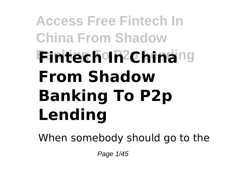# **Access Free Fintech In China From Shadow Bintech In China**ng **From Shadow Banking To P2p Lending**

When somebody should go to the

Page 1/45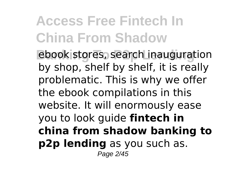**Banking Edge Stores, search inauguration** by shop, shelf by shelf, it is really problematic. This is why we offer the ebook compilations in this website. It will enormously ease you to look guide **fintech in china from shadow banking to p2p lending** as you such as. Page 2/45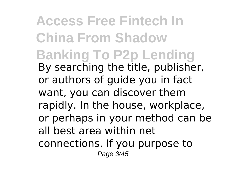**Access Free Fintech In China From Shadow Banking To P2p Lending** By searching the title, publisher, or authors of guide you in fact want, you can discover them rapidly. In the house, workplace, or perhaps in your method can be all best area within net connections. If you purpose to Page 3/45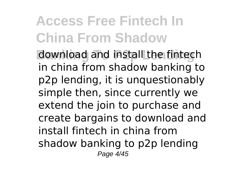**Banking To P2p Lending** download and install the fintech in china from shadow banking to p2p lending, it is unquestionably simple then, since currently we extend the join to purchase and create bargains to download and install fintech in china from shadow banking to p2p lending Page 4/45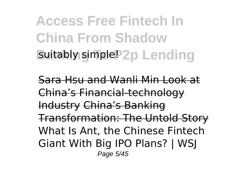**Access Free Fintech In China From Shadow suitably simple? 2p Lending** 

Sara Hsu and Wanli Min Look at China's Financial-technology Industry China's Banking Transformation: The Untold Story What Is Ant, the Chinese Fintech Giant With Big IPO Plans? | WSJ Page 5/45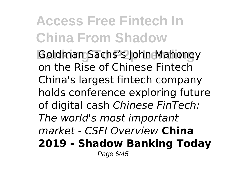**Goldman Sachs's John Mahoney** on the Rise of Chinese Fintech China's largest fintech company holds conference exploring future of digital cash *Chinese FinTech: The world's most important market - CSFI Overview* **China 2019 - Shadow Banking Today** Page 6/45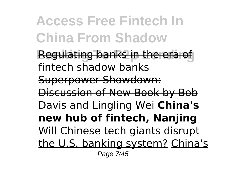**Access Free Fintech In China From Shadow Regulating banks in the era of** fintech shadow banks Superpower Showdown: Discussion of New Book by Bob Davis and Lingling Wei **China's new hub of fintech, Nanjing** Will Chinese tech giants disrupt the U.S. banking system? China's Page 7/45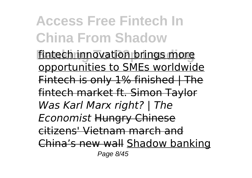**Access Free Fintech In China From Shadow fintech innovation brings more** opportunities to SMEs worldwide Fintech is only 1% finished | The fintech market ft. Simon Taylor *Was Karl Marx right? | The Economist* Hungry Chinese citizens' Vietnam march and China's new wall Shadow banking Page 8/45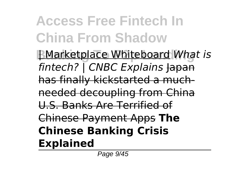**Access Free Fintech In China From Shadow BMarketplace Whiteboard What is** *fintech?* CNBC Explains lapan has finally kickstarted a muchneeded decoupling from China U.S. Banks Are Terrified of Chinese Payment Apps **The Chinese Banking Crisis Explained**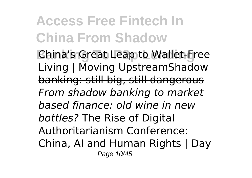**Banking To P2p Lending** China's Great Leap to Wallet-Free Living | Moving UpstreamShadow banking: still big, still dangerous *From shadow banking to market based finance: old wine in new bottles?* The Rise of Digital Authoritarianism Conference: China, AI and Human Rights | Day Page 10/45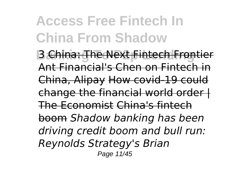**B** China: The Next Fintech Frontier Ant Financial's Chen on Fintech in China, Alipay How covid-19 could change the financial world order I The Economist China's fintech boom *Shadow banking has been driving credit boom and bull run: Reynolds Strategy's Brian* Page 11/45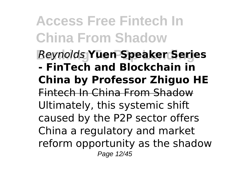**Access Free Fintech In China From Shadow Banking To P2p Lending** *Reynolds* **Yuen Speaker Series - FinTech and Blockchain in China by Professor Zhiguo HE** Fintech In China From Shadow Ultimately, this systemic shift caused by the P2P sector offers China a regulatory and market reform opportunity as the shadow Page 12/45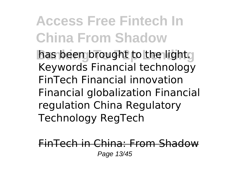**Access Free Fintech In China From Shadow** has been brought to the light. Keywords Financial technology FinTech Financial innovation Financial globalization Financial regulation China Regulatory Technology RegTech

 $FinTech$  in China: From Shad Page 13/45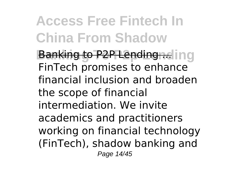**Banking to P2P Lending ...** in a FinTech promises to enhance financial inclusion and broaden the scope of financial intermediation. We invite academics and practitioners working on financial technology (FinTech), shadow banking and Page 14/45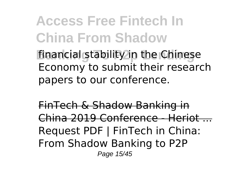**Access Free Fintech In China From Shadow financial stability in the Chinese** Economy to submit their research papers to our conference.

FinTech & Shadow Banking in China 2019 Conference - Heriot ... Request PDF | FinTech in China: From Shadow Banking to P2P Page 15/45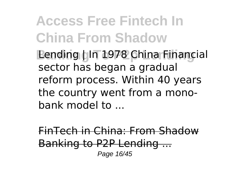**Access Free Fintech In China From Shadow Banding | In 1978 China Financial** sector has began a gradual reform process. Within 40 years the country went from a monobank model to ...

FinTech in China: From Shadow Banking to P2P Lending ... Page 16/45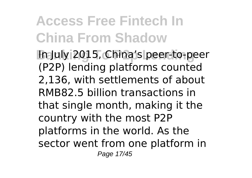**Banking To P2p Lending** In July 2015, China's peer-to-peer (P2P) lending platforms counted 2,136, with settlements of about RMB82.5 billion transactions in that single month, making it the country with the most P2P platforms in the world. As the sector went from one platform in Page 17/45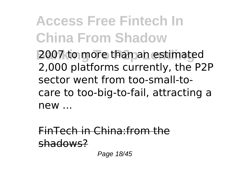**Access Free Fintech In China From Shadow Banking To P2p Lending** 2007 to more than an estimated 2,000 platforms currently, the P2P sector went from too-small-tocare to too-big-to-fail, attracting a new ...

FinTech in China:from the shadows?

Page 18/45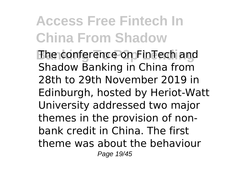**Banking The conference on FinTech and** Shadow Banking in China from 28th to 29th November 2019 in Edinburgh, hosted by Heriot-Watt University addressed two major themes in the provision of nonbank credit in China. The first theme was about the behaviour Page 19/45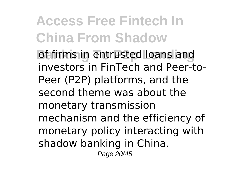**Access Free Fintech In China From Shadow Banking in entrusted loans and** investors in FinTech and Peer-to-Peer (P2P) platforms, and the second theme was about the monetary transmission mechanism and the efficiency of monetary policy interacting with shadow banking in China. Page 20/45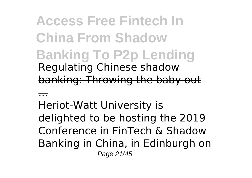**Access Free Fintech In China From Shadow Banking To P2p Lending** Regulating Chinese shadow banking: Throwing the baby out

...

Heriot-Watt University is delighted to be hosting the 2019 Conference in FinTech & Shadow Banking in China, in Edinburgh on Page 21/45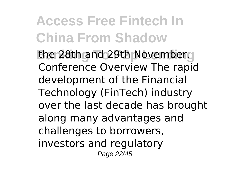the 28th and 29th November. Conference Overview The rapid development of the Financial Technology (FinTech) industry over the last decade has brought along many advantages and challenges to borrowers, investors and regulatory Page 22/45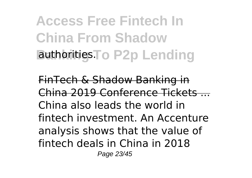**Access Free Fintech In China From Shadow Bathorities To P2p Lending** 

FinTech & Shadow Banking in China 2019 Conference Tickets ... China also leads the world in fintech investment. An Accenture analysis shows that the value of fintech deals in China in 2018 Page 23/45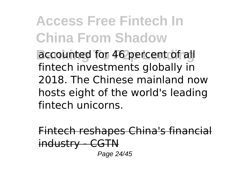**Access Free Fintech In China From Shadow Baccounted for 46 percent of all** fintech investments globally in 2018. The Chinese mainland now hosts eight of the world's leading fintech unicorns.

Fintech reshapes China's financial industry - CGTN Page 24/45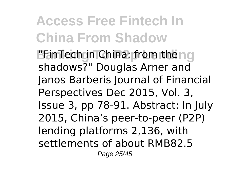**Access Free Fintech In China From Shadow BEInTech in China: from the no** shadows?" Douglas Arner and Janos Barberis Journal of Financial Perspectives Dec 2015, Vol. 3, Issue 3, pp 78-91. Abstract: In July 2015, China's peer-to-peer (P2P) lending platforms 2,136, with settlements of about RMB82.5 Page 25/45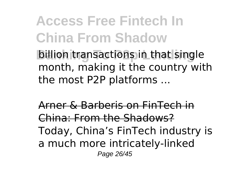**Access Free Fintech In China From Shadow billion transactions in that single** month, making it the country with the most P2P platforms ...

Arner & Barberis on FinTech in China: From the Shadows? Today, China's FinTech industry is a much more intricately-linked Page 26/45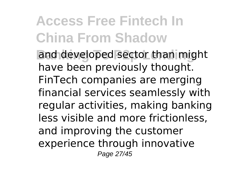**Access Free Fintech In China From Shadow** and developed sector than might have been previously thought. FinTech companies are merging financial services seamlessly with regular activities, making banking less visible and more frictionless, and improving the customer experience through innovative Page 27/45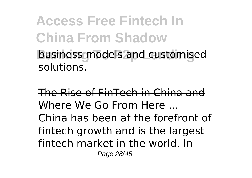**Access Free Fintech In China From Shadow business models and customised** solutions.

The Rise of FinTech in China and Where We Go From Here .... China has been at the forefront of fintech growth and is the largest fintech market in the world. In Page 28/45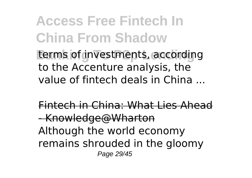**Access Free Fintech In China From Shadow Banking To P2p Lending** terms of investments, according to the Accenture analysis, the value of fintech deals in China ...

Fintech in China: What Lies Ahead - Knowledge@Wharton Although the world economy remains shrouded in the gloomy Page 29/45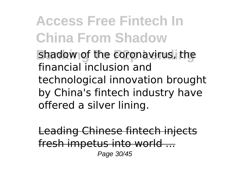**Access Free Fintech In China From Shadow** shadow of the coronavirus, the financial inclusion and technological innovation brought by China's fintech industry have offered a silver lining.

Leading Chinese fintech injects fresh impetus into world ... Page 30/45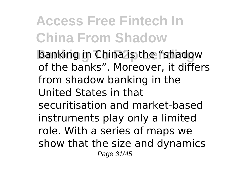**Access Free Fintech In China From Shadow Banking in China is the "shadow** of the banks". Moreover, it differs from shadow banking in the United States in that securitisation and market-based instruments play only a limited role. With a series of maps we show that the size and dynamics Page 31/45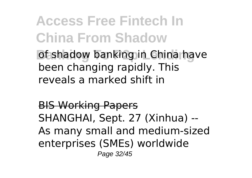**Access Free Fintech In China From Shadow** *Banking in China have Banking in China have* been changing rapidly. This reveals a marked shift in

BIS Working Papers SHANGHAI, Sept. 27 (Xinhua) -- As many small and medium-sized enterprises (SMEs) worldwide Page 32/45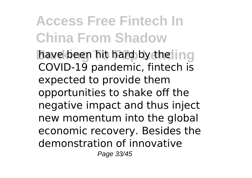**Access Free Fintech In China From Shadow** have been hit hard by the **ling** COVID-19 pandemic, fintech is expected to provide them opportunities to shake off the negative impact and thus inject new momentum into the global economic recovery. Besides the demonstration of innovative Page 33/45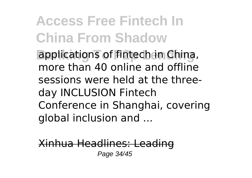**Access Free Fintech In China From Shadow applications of fintech in China,** more than 40 online and offline sessions were held at the threeday INCLUSION Fintech Conference in Shanghai, covering global inclusion and ...

Xinhua Headlines: Leading Page 34/45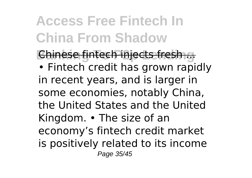**Chinese fintech injects fresh ...** • Fintech credit has grown rapidly in recent years, and is larger in some economies, notably China, the United States and the United Kingdom. • The size of an

economy's fintech credit market is positively related to its income

Page 35/45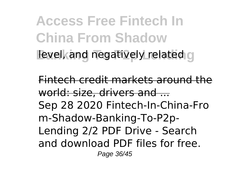**Access Free Fintech In China From Shadow Banking To Pancific Paradelers** and negatively related

Fintech credit markets around the world: size, drivers and ... Sep 28 2020 Fintech-In-China-Fro m-Shadow-Banking-To-P2p-Lending 2/2 PDF Drive - Search and download PDF files for free. Page 36/45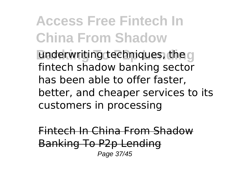**Access Free Fintech In China From Shadow Banderwriting techniques, the a** fintech shadow banking sector has been able to offer faster, better, and cheaper services to its customers in processing

Fintech In China From Shadow Banking To P2p Lending Page 37/45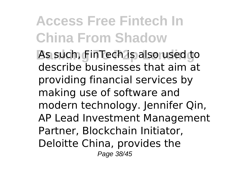As such, FinTech is also used to describe businesses that aim at providing financial services by making use of software and modern technology. Jennifer Qin, AP Lead Investment Management Partner, Blockchain Initiator, Deloitte China, provides the Page 38/45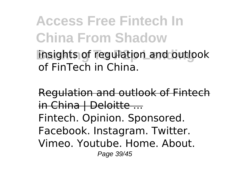**Access Free Fintech In China From Shadow insights of regulation and outlook** of FinTech in China.

Regulation and outlook of Fintech in China | Deloitte ... Fintech. Opinion. Sponsored. Facebook. Instagram. Twitter. Vimeo. Youtube. Home. About. Page 39/45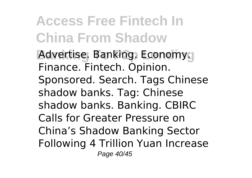**Access Free Fintech In China From Shadow Advertise. Banking. Economy.** Finance. Fintech. Opinion. Sponsored. Search. Tags Chinese shadow banks. Tag: Chinese shadow banks. Banking. CBIRC Calls for Greater Pressure on China's Shadow Banking Sector Following 4 Trillion Yuan Increase Page 40/45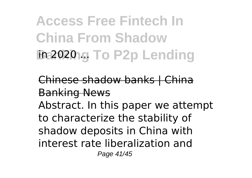**Access Free Fintech In China From Shadow Banking To P2p Lending** 

Chinese shadow banks | China Banking News

Abstract. In this paper we attempt to characterize the stability of shadow deposits in China with interest rate liberalization and Page 41/45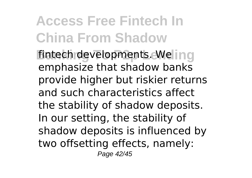fintech developments. We in a emphasize that shadow banks provide higher but riskier returns and such characteristics affect the stability of shadow deposits. In our setting, the stability of shadow deposits is influenced by two offsetting effects, namely: Page 42/45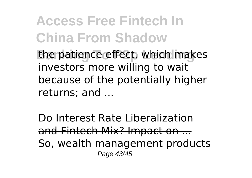**Access Free Fintech In China From Shadow** the patience effect, which makes investors more willing to wait because of the potentially higher returns; and ...

Do Interest Rate Liberalization and Fintech Mix? Impact on ... So, wealth management products Page 43/45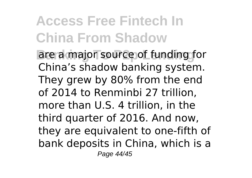**Access Free Fintech In China From Shadow** are a major source of funding for China's shadow banking system. They grew by 80% from the end of 2014 to Renminbi 27 trillion, more than U.S. 4 trillion, in the third quarter of 2016. And now, they are equivalent to one-fifth of bank deposits in China, which is a Page 44/45